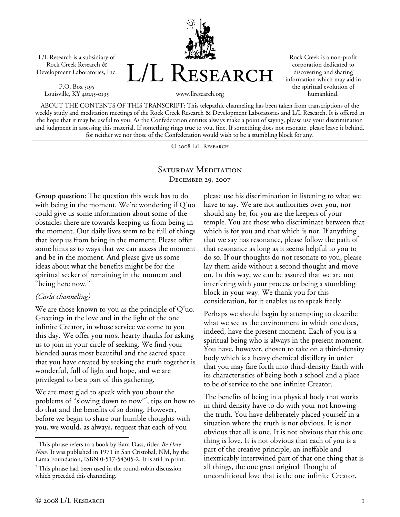L/L Research is a subsidiary of Rock Creek Research & Development Laboratories, Inc.

P.O. Box 5195 Louisville, KY 40255-0195 L/L Research

www.llresearch.org

Rock Creek is a non-profit corporation dedicated to discovering and sharing information which may aid in the spiritual evolution of humankind.

ABOUT THE CONTENTS OF THIS TRANSCRIPT: This telepathic channeling has been taken from transcriptions of the weekly study and meditation meetings of the Rock Creek Research & Development Laboratories and L/L Research. It is offered in the hope that it may be useful to you. As the Confederation entities always make a point of saying, please use your discrimination and judgment in assessing this material. If something rings true to you, fine. If something does not resonate, please leave it behind, for neither we nor those of the Confederation would wish to be a stumbling block for any.

© 2008 L/L Research

### SATURDAY MEDITATION December 29, 2007

**Group question:** The question this week has to do with being in the moment. We're wondering if Q'uo could give us some information about some of the obstacles there are towards keeping us from being in the moment. Our daily lives seem to be full of things that keep us from being in the moment. Please offer some hints as to ways that we can access the moment and be in the moment. And please give us some ideas about what the benefits might be for the spiritual seeker of remaining in the moment and "being here now."<sup>1</sup>

#### *(Carla channeling)*

We are those known to you as the principle of Q'uo. Greetings in the love and in the light of the one infinite Creator, in whose service we come to you this day. We offer you most hearty thanks for asking us to join in your circle of seeking. We find your blended auras most beautiful and the sacred space that you have created by seeking the truth together is wonderful, full of light and hope, and we are privileged to be a part of this gathering.

We are most glad to speak with you about the problems of "slowing down to now"2 , tips on how to do that and the benefits of so doing. However, before we begin to share our humble thoughts with you, we would, as always, request that each of you

please use his discrimination in listening to what we have to say. We are not authorities over you, nor should any be, for you are the keepers of your temple. You are those who discriminate between that which is for you and that which is not. If anything that we say has resonance, please follow the path of that resonance as long as it seems helpful to you to do so. If our thoughts do not resonate to you, please lay them aside without a second thought and move on. In this way, we can be assured that we are not interfering with your process or being a stumbling block in your way. We thank you for this consideration, for it enables us to speak freely.

Perhaps we should begin by attempting to describe what we see as the environment in which one does, indeed, have the present moment. Each of you is a spiritual being who is always in the present moment. You have, however, chosen to take on a third-density body which is a heavy chemical distillery in order that you may fare forth into third-density Earth with its characteristics of being both a school and a place to be of service to the one infinite Creator.

The benefits of being in a physical body that works in third density have to do with your not knowing the truth. You have deliberately placed yourself in a situation where the truth is not obvious. It is not obvious that all is one. It is not obvious that this one thing is love. It is not obvious that each of you is a part of the creative principle, an ineffable and inextricably intertwined part of that one thing that is all things, the one great original Thought of unconditional love that is the one infinite Creator.

 $\overline{a}$ 

<sup>1</sup> This phrase refers to a book by Ram Dass, titled *Be Here Now*. It was published in 1971 in San Cristobal, NM, by the Lama Foundation, ISBN 0-517-54305-2. It is still in print.

<sup>&</sup>lt;sup>2</sup> This phrase had been used in the round-robin discussion which preceded this channeling.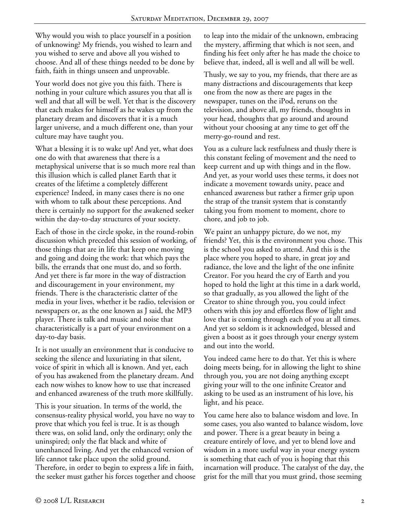Why would you wish to place yourself in a position of unknowing? My friends, you wished to learn and you wished to serve and above all you wished to choose. And all of these things needed to be done by faith, faith in things unseen and unprovable.

Your world does not give you this faith. There is nothing in your culture which assures you that all is well and that all will be well. Yet that is the discovery that each makes for himself as he wakes up from the planetary dream and discovers that it is a much larger universe, and a much different one, than your culture may have taught you.

What a blessing it is to wake up! And yet, what does one do with that awareness that there is a metaphysical universe that is so much more real than this illusion which is called planet Earth that it creates of the lifetime a completely different experience? Indeed, in many cases there is no one with whom to talk about these perceptions. And there is certainly no support for the awakened seeker within the day-to-day structures of your society.

Each of those in the circle spoke, in the round-robin discussion which preceded this session of working, of those things that are in life that keep one moving and going and doing the work: that which pays the bills, the errands that one must do, and so forth. And yet there is far more in the way of distraction and discouragement in your environment, my friends. There is the characteristic clatter of the media in your lives, whether it be radio, television or newspapers or, as the one known as J said, the MP3 player. There is talk and music and noise that characteristically is a part of your environment on a day-to-day basis.

It is not usually an environment that is conducive to seeking the silence and luxuriating in that silent, voice of spirit in which all is known. And yet, each of you has awakened from the planetary dream. And each now wishes to know how to use that increased and enhanced awareness of the truth more skillfully.

This is your situation. In terms of the world, the consensus-reality physical world, you have no way to prove that which you feel is true. It is as though there was, on solid land, only the ordinary; only the uninspired; only the flat black and white of unenhanced living. And yet the enhanced version of life cannot take place upon the solid ground. Therefore, in order to begin to express a life in faith, the seeker must gather his forces together and choose to leap into the midair of the unknown, embracing the mystery, affirming that which is not seen, and finding his feet only after he has made the choice to believe that, indeed, all is well and all will be well.

Thusly, we say to you, my friends, that there are as many distractions and discouragements that keep one from the now as there are pages in the newspaper, tunes on the iPod, reruns on the television, and above all, my friends, thoughts in your head, thoughts that go around and around without your choosing at any time to get off the merry-go-round and rest.

You as a culture lack restfulness and thusly there is this constant feeling of movement and the need to keep current and up with things and in the flow. And yet, as your world uses these terms, it does not indicate a movement towards unity, peace and enhanced awareness but rather a firmer grip upon the strap of the transit system that is constantly taking you from moment to moment, chore to chore, and job to job.

We paint an unhappy picture, do we not, my friends? Yet, this is the environment you chose. This is the school you asked to attend. And this is the place where you hoped to share, in great joy and radiance, the love and the light of the one infinite Creator. For you heard the cry of Earth and you hoped to hold the light at this time in a dark world, so that gradually, as you allowed the light of the Creator to shine through you, you could infect others with this joy and effortless flow of light and love that is coming through each of you at all times. And yet so seldom is it acknowledged, blessed and given a boost as it goes through your energy system and out into the world.

You indeed came here to do that. Yet this is where doing meets being, for in allowing the light to shine through you, you are not doing anything except giving your will to the one infinite Creator and asking to be used as an instrument of his love, his light, and his peace.

You came here also to balance wisdom and love. In some cases, you also wanted to balance wisdom, love and power. There is a great beauty in being a creature entirely of love, and yet to blend love and wisdom in a more useful way in your energy system is something that each of you is hoping that this incarnation will produce. The catalyst of the day, the grist for the mill that you must grind, those seeming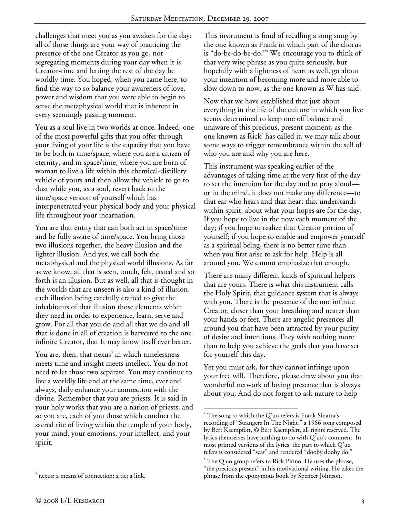challenges that meet you as you awaken for the day: all of those things are your way of practicing the presence of the one Creator as you go, not segregating moments during your day when it is Creator-time and letting the rest of the day be worldly time. You hoped, when you came here, to find the way to so balance your awareness of love, power and wisdom that you were able to begin to sense the metaphysical world that is inherent in every seemingly passing moment.

You as a soul live in two worlds at once. Indeed, one of the most powerful gifts that you offer through your living of your life is the capacity that you have to be both in time/space, where you are a citizen of eternity, and in space/time, where you are born of woman to live a life within this chemical-distillery vehicle of yours and then allow the vehicle to go to dust while you, as a soul, revert back to the time/space version of yourself which has interpenetrated your physical body and your physical life throughout your incarnation.

You are that entity that can both act in space/time and be fully aware of time/space. You bring those two illusions together, the heavy illusion and the lighter illusion. And yes, we call both the metaphysical and the physical world illusions. As far as we know, all that is seen, touch, felt, tasted and so forth is an illusion. But as well, all that is thought in the worlds that are unseen is also a kind of illusion, each illusion being carefully crafted to give the inhabitants of that illusion those elements which they need in order to experience, learn, serve and grow. For all that you do and all that we do and all that is done in all of creation is harvested to the one infinite Creator, that It may know Itself ever better.

You are, then, that nexus $^3$  in which timelessness meets time and insight meets intellect. You do not need to let those two separate. You may continue to live a worldly life and at the same time, ever and always, daily enhance your connection with the divine. Remember that you are priests. It is said in your holy works that you are a nation of priests, and so you are, each of you those which conduct the sacred rite of living within the temple of your body, your mind, your emotions, your intellect, and your spirit.

This instrument is fond of recalling a song sung by the one known as Frank in which part of the chorus is "do-be-do-be-do."<sup>4</sup> We encourage you to think of that very wise phrase as you quite seriously, but hopefully with a lightness of heart as well, go about your intention of becoming more and more able to slow down to now, as the one known as W has said.

Now that we have established that just about everything in the life of the culture in which you live seems determined to keep one off balance and unaware of this precious, present moment, as the one known as Rick<sup>5</sup> has called it, we may talk about some ways to trigger remembrance within the self of who you are and why you are here.

This instrument was speaking earlier of the advantages of taking time at the very first of the day to set the intention for the day and to pray aloud or in the mind, it does not make any difference—to that ear who hears and that heart that understands within spirit, about what your hopes are for the day. If you hope to live in the now each moment of the day; if you hope to realize that Creator portion of yourself; if you hope to enable and empower yourself as a spiritual being, there is no better time than when you first arise to ask for help. Help is all around you. We cannot emphasize that enough.

There are many different kinds of spiritual helpers that are yours. There is what this instrument calls the Holy Spirit, that guidance system that is always with you. There is the presence of the one infinite Creator, closer than your breathing and nearer than your hands or feet. There are angelic presences all around you that have been attracted by your purity of desire and intentions. They wish nothing more than to help you achieve the goals that you have set for yourself this day.

Yet you must ask, for they cannot infringe upon your free will. Therefore, please draw about you that wonderful network of loving presence that is always about you. And do not forget to ask nature to help

 $\overline{a}$ 3 nexus: a means of connection; a tie; a link.

 $\overline{a}$  $4$  The song to which the Q'uo refers is Frank Sinatra's recording of "Strangers In The Night," a 1966 song composed by Bert Kaempfert, © Bert Kaempfert, all rights reserved. The lyrics themselves have nothing to do with Q'uo's comment. In most printed versions of the lyrics, the part to which Q'uo refers is considered "scat" and rendered "dooby dooby do."

 $5$  The Q'uo group refers to Rick Pitino. He uses the phrase, "the precious present" in his motivational writing. He takes the phrase from the eponymous book by Spencer Johnson.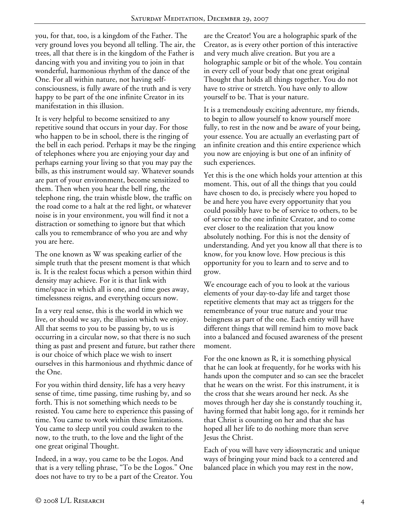you, for that, too, is a kingdom of the Father. The very ground loves you beyond all telling. The air, the trees, all that there is in the kingdom of the Father is dancing with you and inviting you to join in that wonderful, harmonious rhythm of the dance of the One. For all within nature, not having selfconsciousness, is fully aware of the truth and is very happy to be part of the one infinite Creator in its manifestation in this illusion.

It is very helpful to become sensitized to any repetitive sound that occurs in your day. For those who happen to be in school, there is the ringing of the bell in each period. Perhaps it may be the ringing of telephones where you are enjoying your day and perhaps earning your living so that you may pay the bills, as this instrument would say. Whatever sounds are part of your environment, become sensitized to them. Then when you hear the bell ring, the telephone ring, the train whistle blow, the traffic on the road come to a halt at the red light, or whatever noise is in your environment, you will find it not a distraction or something to ignore but that which calls you to remembrance of who you are and why you are here.

The one known as W was speaking earlier of the simple truth that the present moment is that which is. It is the realest focus which a person within third density may achieve. For it is that link with time/space in which all is one, and time goes away, timelessness reigns, and everything occurs now.

In a very real sense, this is the world in which we live, or should we say, the illusion which we enjoy. All that seems to you to be passing by, to us is occurring in a circular now, so that there is no such thing as past and present and future, but rather there is our choice of which place we wish to insert ourselves in this harmonious and rhythmic dance of the One.

For you within third density, life has a very heavy sense of time, time passing, time rushing by, and so forth. This is not something which needs to be resisted. You came here to experience this passing of time. You came to work within these limitations. You came to sleep until you could awaken to the now, to the truth, to the love and the light of the one great original Thought.

Indeed, in a way, you came to be the Logos. And that is a very telling phrase, "To be the Logos." One does not have to try to be a part of the Creator. You

are the Creator! You are a holographic spark of the Creator, as is every other portion of this interactive and very much alive creation. But you are a holographic sample or bit of the whole. You contain in every cell of your body that one great original Thought that holds all things together. You do not have to strive or stretch. You have only to allow yourself to be. That is your nature.

It is a tremendously exciting adventure, my friends, to begin to allow yourself to know yourself more fully, to rest in the now and be aware of your being, your essence. You are actually an everlasting part of an infinite creation and this entire experience which you now are enjoying is but one of an infinity of such experiences.

Yet this is the one which holds your attention at this moment. This, out of all the things that you could have chosen to do, is precisely where you hoped to be and here you have every opportunity that you could possibly have to be of service to others, to be of service to the one infinite Creator, and to come ever closer to the realization that you know absolutely nothing. For this is not the density of understanding. And yet you know all that there is to know, for you know love. How precious is this opportunity for you to learn and to serve and to grow.

We encourage each of you to look at the various elements of your day-to-day life and target those repetitive elements that may act as triggers for the remembrance of your true nature and your true beingness as part of the one. Each entity will have different things that will remind him to move back into a balanced and focused awareness of the present moment.

For the one known as R, it is something physical that he can look at frequently, for he works with his hands upon the computer and so can see the bracelet that he wears on the wrist. For this instrument, it is the cross that she wears around her neck. As she moves through her day she is constantly touching it, having formed that habit long ago, for it reminds her that Christ is counting on her and that she has hoped all her life to do nothing more than serve Jesus the Christ.

Each of you will have very idiosyncratic and unique ways of bringing your mind back to a centered and balanced place in which you may rest in the now,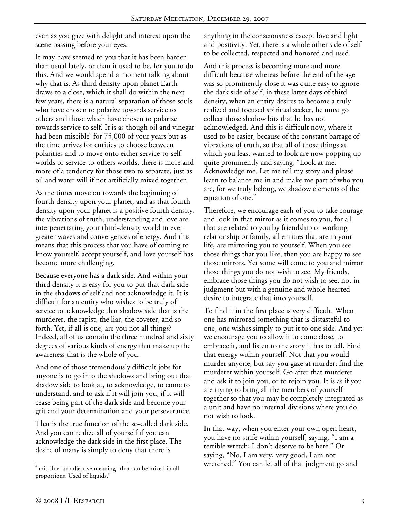even as you gaze with delight and interest upon the scene passing before your eyes.

It may have seemed to you that it has been harder than usual lately, or than it used to be, for you to do this. And we would spend a moment talking about why that is. As third density upon planet Earth draws to a close, which it shall do within the next few years, there is a natural separation of those souls who have chosen to polarize towards service to others and those which have chosen to polarize towards service to self. It is as though oil and vinegar had been miscible<sup>6</sup> for 75,000 of your years but as the time arrives for entities to choose between polarities and to move onto either service-to-self worlds or service-to-others worlds, there is more and more of a tendency for those two to separate, just as oil and water will if not artificially mixed together.

As the times move on towards the beginning of fourth density upon your planet, and as that fourth density upon your planet is a positive fourth density, the vibrations of truth, understanding and love are interpenetrating your third-density world in ever greater waves and convergences of energy. And this means that this process that you have of coming to know yourself, accept yourself, and love yourself has become more challenging.

Because everyone has a dark side. And within your third density it is easy for you to put that dark side in the shadows of self and not acknowledge it. It is difficult for an entity who wishes to be truly of service to acknowledge that shadow side that is the murderer, the rapist, the liar, the coveter, and so forth. Yet, if all is one, are you not all things? Indeed, all of us contain the three hundred and sixty degrees of various kinds of energy that make up the awareness that is the whole of you.

And one of those tremendously difficult jobs for anyone is to go into the shadows and bring out that shadow side to look at, to acknowledge, to come to understand, and to ask if it will join you, if it will cease being part of the dark side and become your grit and your determination and your perseverance.

That is the true function of the so-called dark side. And you can realize all of yourself if you can acknowledge the dark side in the first place. The desire of many is simply to deny that there is

anything in the consciousness except love and light and positivity. Yet, there is a whole other side of self to be collected, respected and honored and used.

And this process is becoming more and more difficult because whereas before the end of the age was so prominently close it was quite easy to ignore the dark side of self, in these latter days of third density, when an entity desires to become a truly realized and focused spiritual seeker, he must go collect those shadow bits that he has not acknowledged. And this is difficult now, where it used to be easier, because of the constant barrage of vibrations of truth, so that all of those things at which you least wanted to look are now popping up quite prominently and saying, "Look at me. Acknowledge me. Let me tell my story and please learn to balance me in and make me part of who you are, for we truly belong, we shadow elements of the equation of one."

Therefore, we encourage each of you to take courage and look in that mirror as it comes to you, for all that are related to you by friendship or working relationship or family, all entities that are in your life, are mirroring you to yourself. When you see those things that you like, then you are happy to see those mirrors. Yet some will come to you and mirror those things you do not wish to see. My friends, embrace those things you do not wish to see, not in judgment but with a genuine and whole-hearted desire to integrate that into yourself.

To find it in the first place is very difficult. When one has mirrored something that is distasteful to one, one wishes simply to put it to one side. And yet we encourage you to allow it to come close, to embrace it, and listen to the story it has to tell. Find that energy within yourself. Not that you would murder anyone, but say you gaze at murder; find the murderer within yourself. Go after that murderer and ask it to join you, or to rejoin you. It is as if you are trying to bring all the members of yourself together so that you may be completely integrated as a unit and have no internal divisions where you do not wish to look.

In that way, when you enter your own open heart, you have no strife within yourself, saying, "I am a terrible wretch; I don't deserve to be here." Or saying, "No, I am very, very good, I am not wretched." You can let all of that judgment go and

 $\overline{a}$ 6 miscible: an adjective meaning "that can be mixed in all proportions. Used of liquids."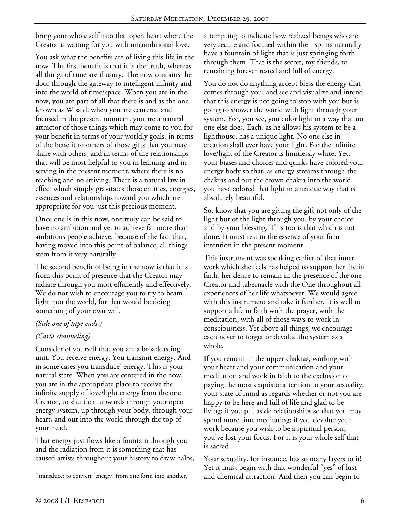bring your whole self into that open heart where the Creator is waiting for you with unconditional love.

You ask what the benefits are of living this life in the now. The first benefit is that it is the truth, whereas all things of time are illusory. The now contains the door through the gateway to intelligent infinity and into the world of time/space. When you are in the now, you are part of all that there is and as the one known as W said, when you are centered and focused in the present moment, you are a natural attractor of those things which may come to you for your benefit in terms of your worldly goals, in terms of the benefit to others of those gifts that you may share with others, and in terms of the relationships that will be most helpful to you in learning and in serving in the present moment, where there is no reaching and no striving. There is a natural law in effect which simply gravitates those entities, energies, essences and relationships toward you which are appropriate for you just this precious moment.

Once one is in this now, one truly can be said to have no ambition and yet to achieve far more than ambitious people achieve, because of the fact that, having moved into this point of balance, all things stem from it very naturally.

The second benefit of being in the now is that it is from this point of presence that the Creator may radiate through you most efficiently and effectively. We do not wish to encourage you to try to beam light into the world, for that would be doing something of your own will.

# *(Side one of tape ends.)*

# *(Carla channeling)*

Consider of yourself that you are a broadcasting unit. You receive energy. You transmit energy. And in some cases you transduce<sup>7</sup> energy. This is your natural state. When you are centered in the now, you are in the appropriate place to receive the infinite supply of love/light energy from the one Creator, to shuttle it upwards through your open energy system, up through your body, through your heart, and out into the world through the top of your head.

That energy just flows like a fountain through you and the radiation from it is something that has caused artists throughout your history to draw halos, attempting to indicate how realized beings who are very secure and focused within their spirits naturally have a fountain of light that is just springing forth through them. That is the secret, my friends, to remaining forever rested and full of energy.

You do not do anything accept bless the energy that comes through you, and see and visualize and intend that this energy is not going to stop with you but is going to shower the world with light through your system. For, you see, you color light in a way that no one else does. Each, as he allows his system to be a lighthouse, has a unique light. No one else in creation shall ever have your light. For the infinite love/light of the Creator is limitlessly white. Yet, your biases and choices and quirks have colored your energy body so that, as energy streams through the chakras and out the crown chakra into the world, you have colored that light in a unique way that is absolutely beautiful.

So, know that you are giving the gift not only of the light but of the light through you, by your choice and by your blessing. This too is that which is not done. It must rest in the essence of your firm intention in the present moment.

This instrument was speaking earlier of that inner work which she feels has helped to support her life in faith, her desire to remain in the presence of the one Creator and tabernacle with the One throughout all experiences of her life whatsoever. We would agree with this instrument and take it further. It is well to support a life in faith with the prayer, with the meditation, with all of those ways to work in consciousness. Yet above all things, we encourage each never to forget or devalue the system as a whole.

If you remain in the upper chakras, working with your heart and your communication and your meditation and work in faith to the exclusion of paying the most exquisite attention to your sexuality, your state of mind as regards whether or not you are happy to be here and full of life and glad to be living; if you put aside relationships so that you may spend more time meditating; if you devalue your work because you wish to be a spiritual person, you've lost your focus. For it is your whole self that is sacred.

Your sexuality, for instance, has so many layers to it! Yet it must begin with that wonderful "yes" of lust and chemical attraction. And then you can begin to

 $\overline{a}$  $\sigma$  transduce: to convert (energy) from one form into another.